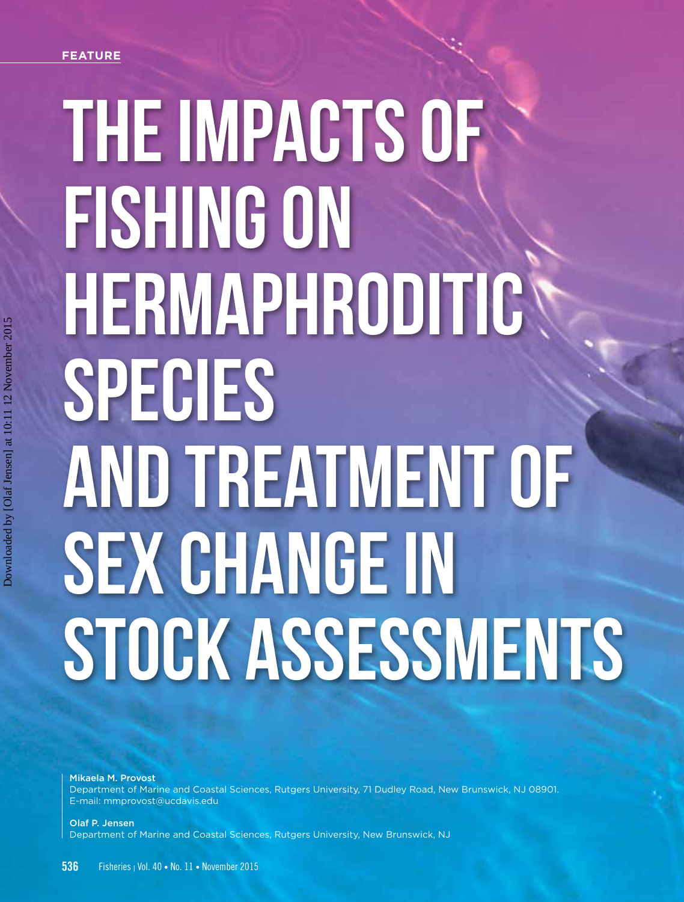# **FEATURE**

# THE IMPACTS OF Fishing on HERMAPHRODITICN **SPECIES** and Treatment of SEX CHANGE IN STOCK ASSESSMENTS

Mikaela M. Provost Department of Marine and Coastal Sciences, Rutgers University, 71 Dudley Road, New Brunswick, NJ 08901. E-mail: mmprovost@ucdavis.edu

Olaf P. Jensen Department of Marine and Coastal Sciences, Rutgers University, New Brunswick, NJ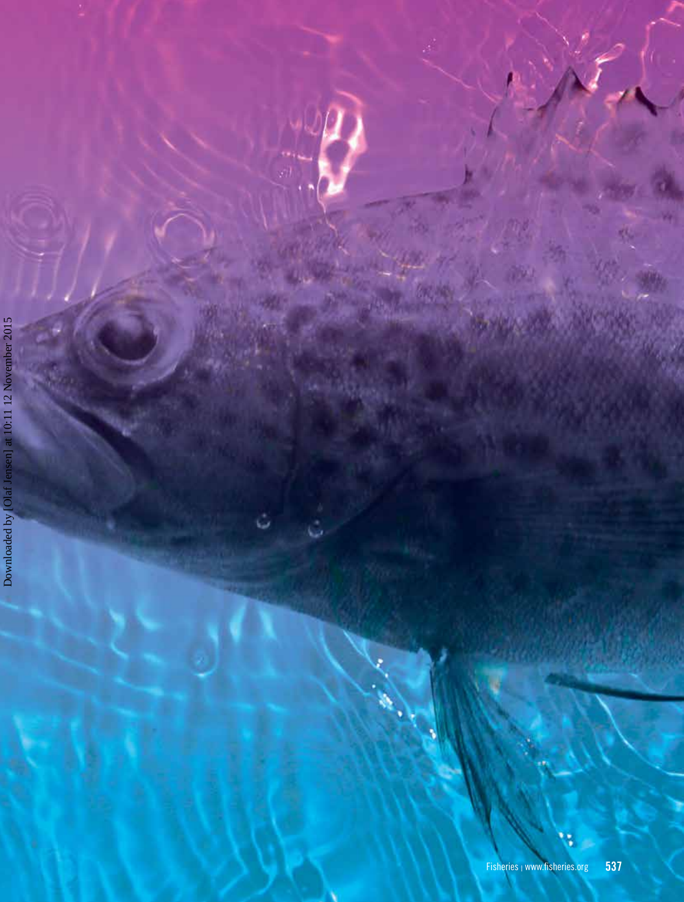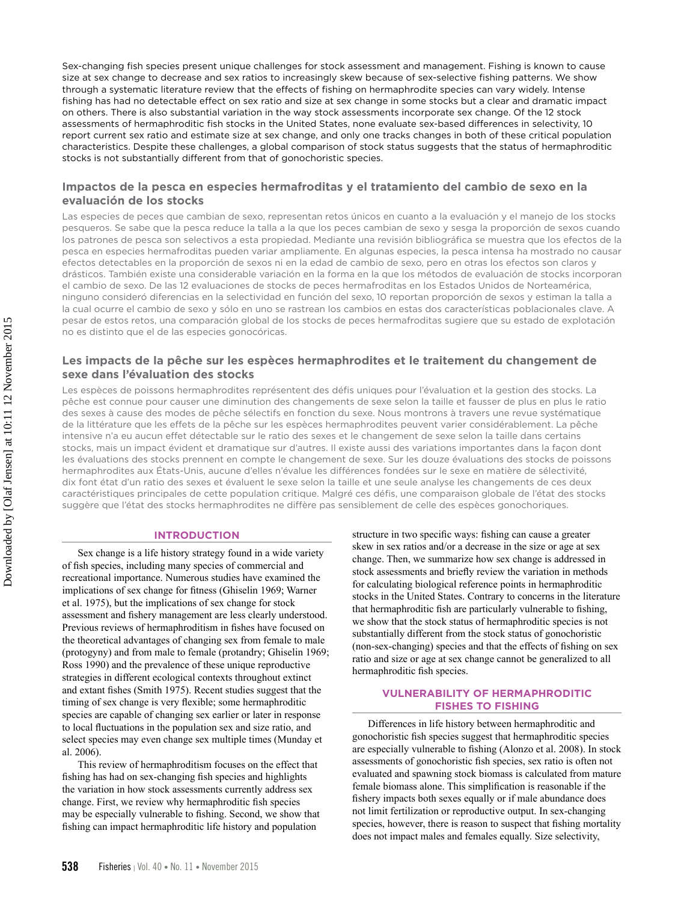Sex-changing fish species present unique challenges for stock assessment and management. Fishing is known to cause size at sex change to decrease and sex ratios to increasingly skew because of sex-selective fishing patterns. We show through a systematic literature review that the effects of fishing on hermaphrodite species can vary widely. Intense fishing has had no detectable effect on sex ratio and size at sex change in some stocks but a clear and dramatic impact on others. There is also substantial variation in the way stock assessments incorporate sex change. Of the 12 stock assessments of hermaphroditic fish stocks in the United States, none evaluate sex-based differences in selectivity, 10 report current sex ratio and estimate size at sex change, and only one tracks changes in both of these critical population characteristics. Despite these challenges, a global comparison of stock status suggests that the status of hermaphroditic stocks is not substantially different from that of gonochoristic species.

# **Impactos de la pesca en especies hermafroditas y el tratamiento del cambio de sexo en la evaluación de los stocks**

Las especies de peces que cambian de sexo, representan retos únicos en cuanto a la evaluación y el manejo de los stocks pesqueros. Se sabe que la pesca reduce la talla a la que los peces cambian de sexo y sesga la proporción de sexos cuando los patrones de pesca son selectivos a esta propiedad. Mediante una revisión bibliográfica se muestra que los efectos de la pesca en especies hermafroditas pueden variar ampliamente. En algunas especies, la pesca intensa ha mostrado no causar efectos detectables en la proporción de sexos ni en la edad de cambio de sexo, pero en otras los efectos son claros y drásticos. También existe una considerable variación en la forma en la que los métodos de evaluación de stocks incorporan el cambio de sexo. De las 12 evaluaciones de stocks de peces hermafroditas en los Estados Unidos de Norteamérica, ninguno consideró diferencias en la selectividad en función del sexo, 10 reportan proporción de sexos y estiman la talla a la cual ocurre el cambio de sexo y sólo en uno se rastrean los cambios en estas dos características poblacionales clave. A pesar de estos retos, una comparación global de los stocks de peces hermafroditas sugiere que su estado de explotación no es distinto que el de las especies gonocóricas.

# **Les impacts de la pêche sur les espèces hermaphrodites et le traitement du changement de sexe dans l'évaluation des stocks**

Les espèces de poissons hermaphrodites représentent des défis uniques pour l'évaluation et la gestion des stocks. La pêche est connue pour causer une diminution des changements de sexe selon la taille et fausser de plus en plus le ratio des sexes à cause des modes de pêche sélectifs en fonction du sexe. Nous montrons à travers une revue systématique de la littérature que les effets de la pêche sur les espèces hermaphrodites peuvent varier considérablement. La pêche intensive n'a eu aucun effet détectable sur le ratio des sexes et le changement de sexe selon la taille dans certains stocks, mais un impact évident et dramatique sur d'autres. Il existe aussi des variations importantes dans la façon dont les évaluations des stocks prennent en compte le changement de sexe. Sur les douze évaluations des stocks de poissons hermaphrodites aux États-Unis, aucune d'elles n'évalue les différences fondées sur le sexe en matière de sélectivité, dix font état d'un ratio des sexes et évaluent le sexe selon la taille et une seule analyse les changements de ces deux caractéristiques principales de cette population critique. Malgré ces défis, une comparaison globale de l'état des stocks suggère que l'état des stocks hermaphrodites ne diffère pas sensiblement de celle des espèces gonochoriques.

# **INTRODUCTION**

Sex change is a life history strategy found in a wide variety of fish species, including many species of commercial and recreational importance. Numerous studies have examined the implications of sex change for fitness (Ghiselin 1969; Warner et al. 1975), but the implications of sex change for stock assessment and fishery management are less clearly understood. Previous reviews of hermaphroditism in fishes have focused on the theoretical advantages of changing sex from female to male (protogyny) and from male to female (protandry; Ghiselin 1969; Ross 1990) and the prevalence of these unique reproductive strategies in different ecological contexts throughout extinct and extant fishes (Smith 1975). Recent studies suggest that the timing of sex change is very flexible; some hermaphroditic species are capable of changing sex earlier or later in response to local fluctuations in the population sex and size ratio, and select species may even change sex multiple times (Munday et al. 2006).

This review of hermaphroditism focuses on the effect that fishing has had on sex-changing fish species and highlights the variation in how stock assessments currently address sex change. First, we review why hermaphroditic fish species may be especially vulnerable to fishing. Second, we show that fishing can impact hermaphroditic life history and population

structure in two specific ways: fishing can cause a greater skew in sex ratios and/or a decrease in the size or age at sex change. Then, we summarize how sex change is addressed in stock assessments and briefly review the variation in methods for calculating biological reference points in hermaphroditic stocks in the United States. Contrary to concerns in the literature that hermaphroditic fish are particularly vulnerable to fishing, we show that the stock status of hermaphroditic species is not substantially different from the stock status of gonochoristic (non-sex-changing) species and that the effects of fishing on sex ratio and size or age at sex change cannot be generalized to all hermaphroditic fish species.

# **VULNERABILITY OF HERMAPHRODITIC FISHES TO FISHING**

Differences in life history between hermaphroditic and gonochoristic fish species suggest that hermaphroditic species are especially vulnerable to fishing (Alonzo et al. 2008). In stock assessments of gonochoristic fish species, sex ratio is often not evaluated and spawning stock biomass is calculated from mature female biomass alone. This simplification is reasonable if the fishery impacts both sexes equally or if male abundance does not limit fertilization or reproductive output. In sex-changing species, however, there is reason to suspect that fishing mortality does not impact males and females equally. Size selectivity,

 $\overline{5}$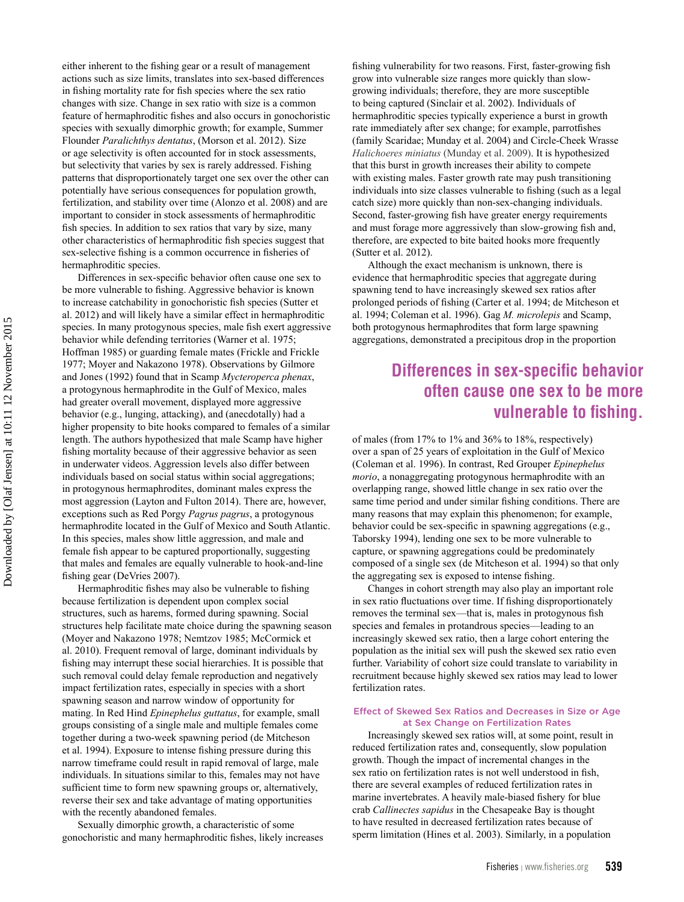either inherent to the fishing gear or a result of management actions such as size limits, translates into sex-based differences in fishing mortality rate for fish species where the sex ratio changes with size. Change in sex ratio with size is a common feature of hermaphroditic fishes and also occurs in gonochoristic species with sexually dimorphic growth; for example, Summer Flounder *Paralichthys dentatus*, (Morson et al. 2012). Size or age selectivity is often accounted for in stock assessments, but selectivity that varies by sex is rarely addressed. Fishing patterns that disproportionately target one sex over the other can potentially have serious consequences for population growth, fertilization, and stability over time (Alonzo et al. 2008) and are important to consider in stock assessments of hermaphroditic fish species. In addition to sex ratios that vary by size, many other characteristics of hermaphroditic fish species suggest that sex-selective fishing is a common occurrence in fisheries of hermaphroditic species.

Differences in sex-specific behavior often cause one sex to be more vulnerable to fishing. Aggressive behavior is known to increase catchability in gonochoristic fish species (Sutter et al. 2012) and will likely have a similar effect in hermaphroditic species. In many protogynous species, male fish exert aggressive behavior while defending territories (Warner et al. 1975; Hoffman 1985) or guarding female mates (Frickle and Frickle 1977; Moyer and Nakazono 1978). Observations by Gilmore and Jones (1992) found that in Scamp *Mycteroperca phenax*, a protogynous hermaphrodite in the Gulf of Mexico, males had greater overall movement, displayed more aggressive behavior (e.g., lunging, attacking), and (anecdotally) had a higher propensity to bite hooks compared to females of a similar length. The authors hypothesized that male Scamp have higher fishing mortality because of their aggressive behavior as seen in underwater videos. Aggression levels also differ between individuals based on social status within social aggregations; in protogynous hermaphrodites, dominant males express the most aggression (Layton and Fulton 2014). There are, however, exceptions such as Red Porgy *Pagrus pagrus*, a protogynous hermaphrodite located in the Gulf of Mexico and South Atlantic. In this species, males show little aggression, and male and female fish appear to be captured proportionally, suggesting that males and females are equally vulnerable to hook-and-line fishing gear (DeVries 2007).

Hermaphroditic fishes may also be vulnerable to fishing because fertilization is dependent upon complex social structures, such as harems, formed during spawning. Social structures help facilitate mate choice during the spawning season (Moyer and Nakazono 1978; Nemtzov 1985; McCormick et al. 2010). Frequent removal of large, dominant individuals by fishing may interrupt these social hierarchies. It is possible that such removal could delay female reproduction and negatively impact fertilization rates, especially in species with a short spawning season and narrow window of opportunity for mating. In Red Hind *Epinephelus guttatus*, for example, small groups consisting of a single male and multiple females come together during a two-week spawning period (de Mitcheson et al. 1994). Exposure to intense fishing pressure during this narrow timeframe could result in rapid removal of large, male individuals. In situations similar to this, females may not have sufficient time to form new spawning groups or, alternatively, reverse their sex and take advantage of mating opportunities with the recently abandoned females.

Sexually dimorphic growth, a characteristic of some gonochoristic and many hermaphroditic fishes, likely increases

fishing vulnerability for two reasons. First, faster-growing fish grow into vulnerable size ranges more quickly than slowgrowing individuals; therefore, they are more susceptible to being captured (Sinclair et al. 2002). Individuals of hermaphroditic species typically experience a burst in growth rate immediately after sex change; for example, parrotfishes (family Scaridae; Munday et al. 2004) and Circle-Cheek Wrasse *Halichoeres miniatus* (Munday et al. 2009). It is hypothesized that this burst in growth increases their ability to compete with existing males. Faster growth rate may push transitioning individuals into size classes vulnerable to fishing (such as a legal catch size) more quickly than non-sex-changing individuals. Second, faster-growing fish have greater energy requirements and must forage more aggressively than slow-growing fish and, therefore, are expected to bite baited hooks more frequently (Sutter et al. 2012).

Although the exact mechanism is unknown, there is evidence that hermaphroditic species that aggregate during spawning tend to have increasingly skewed sex ratios after prolonged periods of fishing (Carter et al. 1994; de Mitcheson et al. 1994; Coleman et al. 1996). Gag *M. microlepis* and Scamp, both protogynous hermaphrodites that form large spawning aggregations, demonstrated a precipitous drop in the proportion

# **Differences in sex-specific behavior often cause one sex to be more vulnerable to fishing.**

of males (from 17% to 1% and 36% to 18%, respectively) over a span of 25 years of exploitation in the Gulf of Mexico (Coleman et al. 1996). In contrast, Red Grouper *Epinephelus morio*, a nonaggregating protogynous hermaphrodite with an overlapping range, showed little change in sex ratio over the same time period and under similar fishing conditions. There are many reasons that may explain this phenomenon; for example, behavior could be sex-specific in spawning aggregations (e.g., Taborsky 1994), lending one sex to be more vulnerable to capture, or spawning aggregations could be predominately composed of a single sex (de Mitcheson et al. 1994) so that only the aggregating sex is exposed to intense fishing.

Changes in cohort strength may also play an important role in sex ratio fluctuations over time. If fishing disproportionately removes the terminal sex—that is, males in protogynous fish species and females in protandrous species—leading to an increasingly skewed sex ratio, then a large cohort entering the population as the initial sex will push the skewed sex ratio even further. Variability of cohort size could translate to variability in recruitment because highly skewed sex ratios may lead to lower fertilization rates.

#### Effect of Skewed Sex Ratios and Decreases in Size or Age at Sex Change on Fertilization Rates

Increasingly skewed sex ratios will, at some point, result in reduced fertilization rates and, consequently, slow population growth. Though the impact of incremental changes in the sex ratio on fertilization rates is not well understood in fish, there are several examples of reduced fertilization rates in marine invertebrates. A heavily male-biased fishery for blue crab *Callinectes sapidus* in the Chesapeake Bay is thought to have resulted in decreased fertilization rates because of sperm limitation (Hines et al. 2003). Similarly, in a population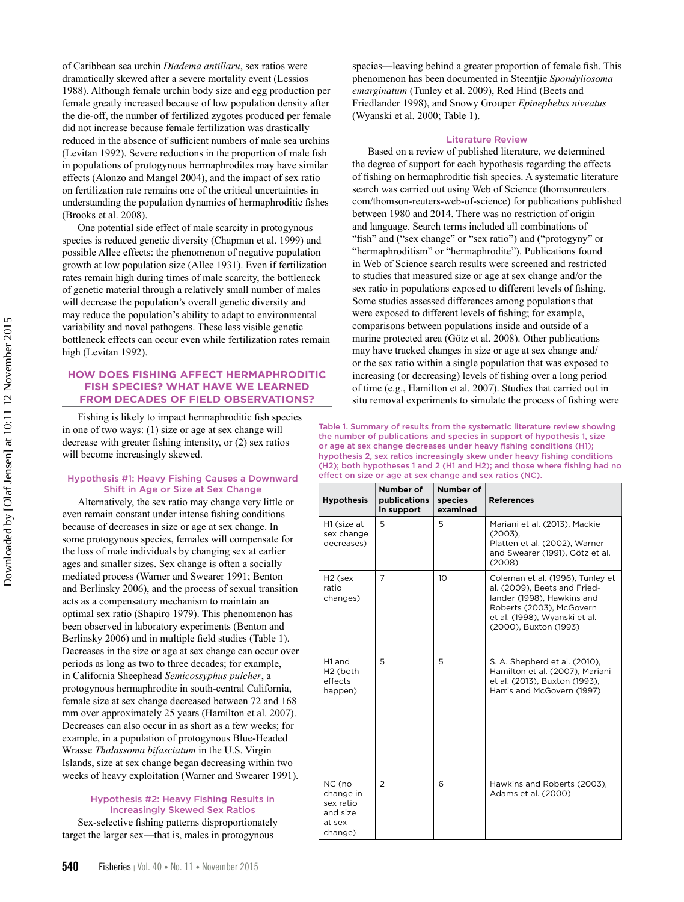of Caribbean sea urchin *Diadema antillaru*, sex ratios were dramatically skewed after a severe mortality event (Lessios 1988). Although female urchin body size and egg production per female greatly increased because of low population density after the die-off, the number of fertilized zygotes produced per female did not increase because female fertilization was drastically reduced in the absence of sufficient numbers of male sea urchins (Levitan 1992). Severe reductions in the proportion of male fish in populations of protogynous hermaphrodites may have similar effects (Alonzo and Mangel 2004), and the impact of sex ratio on fertilization rate remains one of the critical uncertainties in understanding the population dynamics of hermaphroditic fishes (Brooks et al. 2008).

One potential side effect of male scarcity in protogynous species is reduced genetic diversity (Chapman et al. 1999) and possible Allee effects: the phenomenon of negative population growth at low population size (Allee 1931). Even if fertilization rates remain high during times of male scarcity, the bottleneck of genetic material through a relatively small number of males will decrease the population's overall genetic diversity and may reduce the population's ability to adapt to environmental variability and novel pathogens. These less visible genetic bottleneck effects can occur even while fertilization rates remain high (Levitan 1992).

# **HOW DOES FISHING AFFECT HERMAPHRODITIC FISH SPECIES? WHAT HAVE WE LEARNED FROM DECADES OF FIELD OBSERVATIONS?**

Fishing is likely to impact hermaphroditic fish species in one of two ways: (1) size or age at sex change will decrease with greater fishing intensity, or (2) sex ratios will become increasingly skewed.

#### Hypothesis #1: Heavy Fishing Causes a Downward Shift in Age or Size at Sex Change

Alternatively, the sex ratio may change very little or even remain constant under intense fishing conditions because of decreases in size or age at sex change. In some protogynous species, females will compensate for the loss of male individuals by changing sex at earlier ages and smaller sizes. Sex change is often a socially mediated process (Warner and Swearer 1991; Benton and Berlinsky 2006), and the process of sexual transition acts as a compensatory mechanism to maintain an optimal sex ratio (Shapiro 1979). This phenomenon has been observed in laboratory experiments (Benton and Berlinsky 2006) and in multiple field studies (Table 1). Decreases in the size or age at sex change can occur over periods as long as two to three decades; for example, in California Sheephead *Semicossyphus pulcher*, a protogynous hermaphrodite in south-central California, female size at sex change decreased between 72 and 168 mm over approximately 25 years (Hamilton et al. 2007). Decreases can also occur in as short as a few weeks; for example, in a population of protogynous Blue-Headed Wrasse *Thalassoma bifasciatum* in the U.S. Virgin Islands, size at sex change began decreasing within two weeks of heavy exploitation (Warner and Swearer 1991).

# Hypothesis #2: Heavy Fishing Results in Increasingly Skewed Sex Ratios

Sex-selective fishing patterns disproportionately target the larger sex—that is, males in protogynous

species—leaving behind a greater proportion of female fish. This phenomenon has been documented in Steentjie *Spondyliosoma emarginatum* (Tunley et al. 2009), Red Hind (Beets and Friedlander 1998), and Snowy Grouper *Epinephelus niveatus* (Wyanski et al. 2000; Table 1).

#### Literature Review

Based on a review of published literature, we determined the degree of support for each hypothesis regarding the effects of fishing on hermaphroditic fish species. A systematic literature search was carried out using Web of Science (thomsonreuters. com/thomson-reuters-web-of-science) for publications published between 1980 and 2014. There was no restriction of origin and language. Search terms included all combinations of "fish" and ("sex change" or "sex ratio") and ("protogyny" or "hermaphroditism" or "hermaphrodite"). Publications found in Web of Science search results were screened and restricted to studies that measured size or age at sex change and/or the sex ratio in populations exposed to different levels of fishing. Some studies assessed differences among populations that were exposed to different levels of fishing; for example, comparisons between populations inside and outside of a marine protected area (Götz et al. 2008). Other publications may have tracked changes in size or age at sex change and/ or the sex ratio within a single population that was exposed to increasing (or decreasing) levels of fishing over a long period of time (e.g., Hamilton et al. 2007). Studies that carried out in situ removal experiments to simulate the process of fishing were

Table 1. Summary of results from the systematic literature review showing the number of publications and species in support of hypothesis 1, size or age at sex change decreases under heavy fishing conditions (H1); hypothesis 2, sex ratios increasingly skew under heavy fishing conditions (H2); both hypotheses 1 and 2 (H1 and H2); and those where fishing had no effect on size or age at sex change and sex ratios (NC).

| <b>Hypothesis</b>                                                 | Number of<br>publications<br>in support | Number of<br>species<br>examined | <b>References</b>                                                                                                                                                                    |
|-------------------------------------------------------------------|-----------------------------------------|----------------------------------|--------------------------------------------------------------------------------------------------------------------------------------------------------------------------------------|
| H1 (size at<br>sex change<br>decreases)                           | 5                                       | 5                                | Mariani et al. (2013), Mackie<br>$(2003)$ .<br>Platten et al. (2002), Warner<br>and Swearer (1991), Götz et al.<br>(2008)                                                            |
| H <sub>2</sub> (sex<br>ratio<br>changes)                          | $\overline{7}$                          | 10                               | Coleman et al. (1996), Tunley et<br>al. (2009), Beets and Fried-<br>lander (1998). Hawkins and<br>Roberts (2003), McGovern<br>et al. (1998), Wyanski et al.<br>(2000), Buxton (1993) |
| H <sub>1</sub> and<br>H <sub>2</sub> (both<br>effects<br>happen)  | 5                                       | 5                                | S. A. Shepherd et al. (2010),<br>Hamilton et al. (2007), Mariani<br>et al. (2013), Buxton (1993),<br>Harris and McGovern (1997)                                                      |
| NC (no<br>change in<br>sex ratio<br>and size<br>at sex<br>change) | $\mathfrak{D}$                          | 6                                | Hawkins and Roberts (2003).<br>Adams et al. (2000)                                                                                                                                   |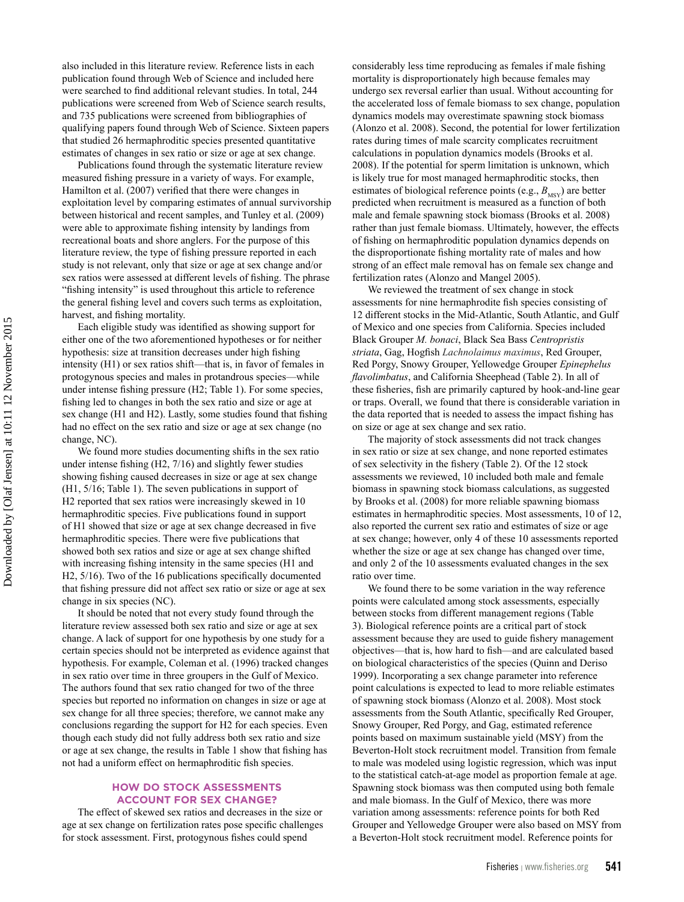also included in this literature review. Reference lists in each publication found through Web of Science and included here were searched to find additional relevant studies. In total, 244 publications were screened from Web of Science search results, and 735 publications were screened from bibliographies of qualifying papers found through Web of Science. Sixteen papers that studied 26 hermaphroditic species presented quantitative estimates of changes in sex ratio or size or age at sex change.

Publications found through the systematic literature review measured fishing pressure in a variety of ways. For example, Hamilton et al. (2007) verified that there were changes in exploitation level by comparing estimates of annual survivorship between historical and recent samples, and Tunley et al. (2009) were able to approximate fishing intensity by landings from recreational boats and shore anglers. For the purpose of this literature review, the type of fishing pressure reported in each study is not relevant, only that size or age at sex change and/or sex ratios were assessed at different levels of fishing. The phrase "fishing intensity" is used throughout this article to reference the general fishing level and covers such terms as exploitation, harvest, and fishing mortality.

Each eligible study was identified as showing support for either one of the two aforementioned hypotheses or for neither hypothesis: size at transition decreases under high fishing intensity (H1) or sex ratios shift—that is, in favor of females in protogynous species and males in protandrous species—while under intense fishing pressure (H2; Table 1). For some species, fishing led to changes in both the sex ratio and size or age at sex change (H1 and H2). Lastly, some studies found that fishing had no effect on the sex ratio and size or age at sex change (no change, NC).

We found more studies documenting shifts in the sex ratio under intense fishing (H2, 7/16) and slightly fewer studies showing fishing caused decreases in size or age at sex change (H1, 5/16; Table 1). The seven publications in support of H2 reported that sex ratios were increasingly skewed in 10 hermaphroditic species. Five publications found in support of H1 showed that size or age at sex change decreased in five hermaphroditic species. There were five publications that showed both sex ratios and size or age at sex change shifted with increasing fishing intensity in the same species (H1 and H2, 5/16). Two of the 16 publications specifically documented that fishing pressure did not affect sex ratio or size or age at sex change in six species (NC).

It should be noted that not every study found through the literature review assessed both sex ratio and size or age at sex change. A lack of support for one hypothesis by one study for a certain species should not be interpreted as evidence against that hypothesis. For example, Coleman et al. (1996) tracked changes in sex ratio over time in three groupers in the Gulf of Mexico. The authors found that sex ratio changed for two of the three species but reported no information on changes in size or age at sex change for all three species; therefore, we cannot make any conclusions regarding the support for H2 for each species. Even though each study did not fully address both sex ratio and size or age at sex change, the results in Table 1 show that fishing has not had a uniform effect on hermaphroditic fish species.

# **HOW DO STOCK ASSESSMENTS ACCOUNT FOR SEX CHANGE?**

The effect of skewed sex ratios and decreases in the size or age at sex change on fertilization rates pose specific challenges for stock assessment. First, protogynous fishes could spend

considerably less time reproducing as females if male fishing mortality is disproportionately high because females may undergo sex reversal earlier than usual. Without accounting for the accelerated loss of female biomass to sex change, population dynamics models may overestimate spawning stock biomass (Alonzo et al. 2008). Second, the potential for lower fertilization rates during times of male scarcity complicates recruitment calculations in population dynamics models (Brooks et al. 2008). If the potential for sperm limitation is unknown, which is likely true for most managed hermaphroditic stocks, then estimates of biological reference points (e.g.,  $B_{\text{MSV}}$ ) are better predicted when recruitment is measured as a function of both male and female spawning stock biomass (Brooks et al. 2008) rather than just female biomass. Ultimately, however, the effects of fishing on hermaphroditic population dynamics depends on the disproportionate fishing mortality rate of males and how strong of an effect male removal has on female sex change and fertilization rates (Alonzo and Mangel 2005).

We reviewed the treatment of sex change in stock assessments for nine hermaphrodite fish species consisting of 12 different stocks in the Mid-Atlantic, South Atlantic, and Gulf of Mexico and one species from California. Species included Black Grouper *M. bonaci*, Black Sea Bass *Centropristis striata*, Gag, Hogfish *Lachnolaimus maximus*, Red Grouper, Red Porgy, Snowy Grouper, Yellowedge Grouper *Epinephelus flavolimbatus*, and California Sheephead (Table 2). In all of these fisheries, fish are primarily captured by hook-and-line gear or traps. Overall, we found that there is considerable variation in the data reported that is needed to assess the impact fishing has on size or age at sex change and sex ratio.

The majority of stock assessments did not track changes in sex ratio or size at sex change, and none reported estimates of sex selectivity in the fishery (Table 2). Of the 12 stock assessments we reviewed, 10 included both male and female biomass in spawning stock biomass calculations, as suggested by Brooks et al. (2008) for more reliable spawning biomass estimates in hermaphroditic species. Most assessments, 10 of 12, also reported the current sex ratio and estimates of size or age at sex change; however, only 4 of these 10 assessments reported whether the size or age at sex change has changed over time, and only 2 of the 10 assessments evaluated changes in the sex ratio over time.

We found there to be some variation in the way reference points were calculated among stock assessments, especially between stocks from different management regions (Table 3). Biological reference points are a critical part of stock assessment because they are used to guide fishery management objectives—that is, how hard to fish—and are calculated based on biological characteristics of the species (Quinn and Deriso 1999). Incorporating a sex change parameter into reference point calculations is expected to lead to more reliable estimates of spawning stock biomass (Alonzo et al. 2008). Most stock assessments from the South Atlantic, specifically Red Grouper, Snowy Grouper, Red Porgy, and Gag, estimated reference points based on maximum sustainable yield (MSY) from the Beverton-Holt stock recruitment model. Transition from female to male was modeled using logistic regression, which was input to the statistical catch-at-age model as proportion female at age. Spawning stock biomass was then computed using both female and male biomass. In the Gulf of Mexico, there was more variation among assessments: reference points for both Red Grouper and Yellowedge Grouper were also based on MSY from a Beverton-Holt stock recruitment model. Reference points for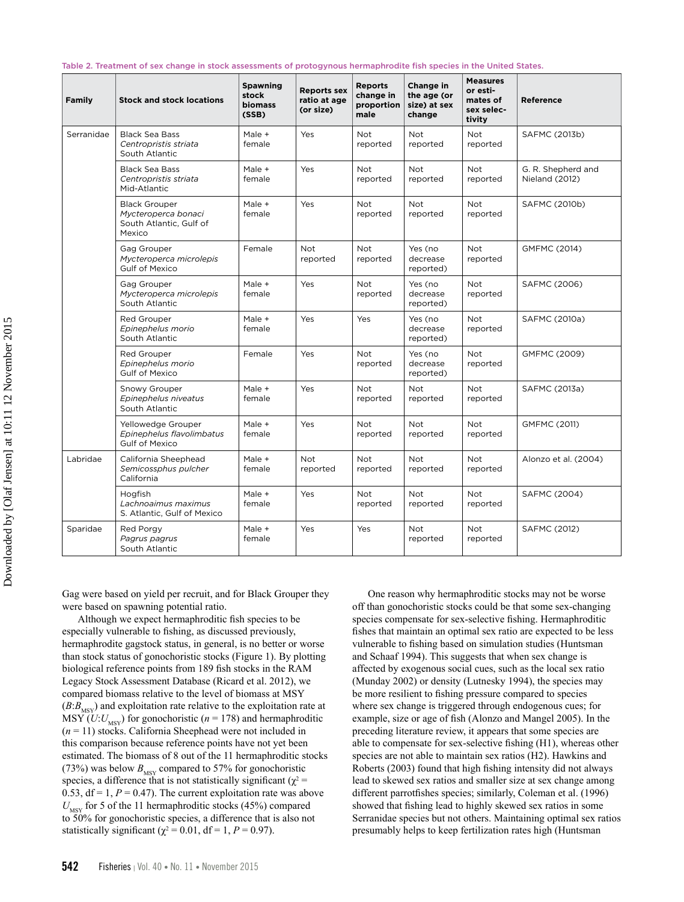| <b>Family</b> | <b>Stock and stock locations</b>                                                 | <b>Spawning</b><br>stock<br><b>biomass</b><br>(SSB) | <b>Reports sex</b><br>ratio at age<br>(or size) | <b>Reports</b><br>change in<br>proportion<br>male | Change in<br>the age (or<br>size) at sex<br>change | <b>Measures</b><br>or esti-<br>mates of<br>sex selec-<br>tivity | Reference                            |
|---------------|----------------------------------------------------------------------------------|-----------------------------------------------------|-------------------------------------------------|---------------------------------------------------|----------------------------------------------------|-----------------------------------------------------------------|--------------------------------------|
| Serranidae    | <b>Black Sea Bass</b><br>Centropristis striata<br>South Atlantic                 | Male +<br>female                                    | Yes                                             | <b>Not</b><br>reported                            | <b>Not</b><br>reported                             | <b>Not</b><br>reported                                          | SAFMC (2013b)                        |
|               | <b>Black Sea Bass</b><br>Centropristis striata<br>Mid-Atlantic                   | Male +<br>female                                    | Yes                                             | <b>Not</b><br>reported                            | <b>Not</b><br>reported                             | <b>Not</b><br>reported                                          | G. R. Shepherd and<br>Nieland (2012) |
|               | <b>Black Grouper</b><br>Mycteroperca bonaci<br>South Atlantic, Gulf of<br>Mexico | Male +<br>female                                    | Yes                                             | <b>Not</b><br>reported                            | <b>Not</b><br>reported                             | <b>Not</b><br>reported                                          | SAFMC (2010b)                        |
|               | Gag Grouper<br>Mycteroperca microlepis<br><b>Gulf of Mexico</b>                  | Female                                              | <b>Not</b><br>reported                          | <b>Not</b><br>reported                            | Yes (no<br>decrease<br>reported)                   | <b>Not</b><br>reported                                          | GMFMC (2014)                         |
|               | Gag Grouper<br>Mycteroperca microlepis<br>South Atlantic                         | Male +<br>female                                    | Yes                                             | <b>Not</b><br>reported                            | Yes (no<br>decrease<br>reported)                   | <b>Not</b><br>reported                                          | SAFMC (2006)                         |
|               | Red Grouper<br>Epinephelus morio<br>South Atlantic                               | Male +<br>female                                    | Yes                                             | Yes                                               | Yes (no<br>decrease<br>reported)                   | <b>Not</b><br>reported                                          | SAFMC (2010a)                        |
|               | <b>Red Grouper</b><br>Epinephelus morio<br><b>Gulf of Mexico</b>                 | Female                                              | Yes                                             | <b>Not</b><br>reported                            | Yes (no<br>decrease<br>reported)                   | Not<br>reported                                                 | GMFMC (2009)                         |
|               | Snowy Grouper<br>Epinephelus niveatus<br>South Atlantic                          | Male +<br>female                                    | Yes                                             | <b>Not</b><br>reported                            | <b>Not</b><br>reported                             | <b>Not</b><br>reported                                          | SAFMC (2013a)                        |
|               | Yellowedge Grouper<br>Epinephelus flavolimbatus<br><b>Gulf of Mexico</b>         | Male +<br>female                                    | Yes                                             | <b>Not</b><br>reported                            | <b>Not</b><br>reported                             | <b>Not</b><br>reported                                          | GMFMC (2011)                         |
| Labridae      | California Sheephead<br>Semicossphus pulcher<br>California                       | Male +<br>female                                    | <b>Not</b><br>reported                          | <b>Not</b><br>reported                            | <b>Not</b><br>reported                             | <b>Not</b><br>reported                                          | Alonzo et al. (2004)                 |
|               | Hogfish<br>Lachnoaimus maximus<br>S. Atlantic, Gulf of Mexico                    | Male +<br>female                                    | Yes                                             | Not<br>reported                                   | Not<br>reported                                    | Not<br>reported                                                 | SAFMC (2004)                         |
| Sparidae      | Red Porgy<br>Pagrus pagrus<br>South Atlantic                                     | Male +<br>female                                    | Yes                                             | Yes                                               | Not<br>reported                                    | Not<br>reported                                                 | SAFMC (2012)                         |

|  |  |  |  |  |  |  |  | Table 2. Treatment of sex change in stock assessments of protogynous hermaphrodite fish species in the United States. |
|--|--|--|--|--|--|--|--|-----------------------------------------------------------------------------------------------------------------------|
|--|--|--|--|--|--|--|--|-----------------------------------------------------------------------------------------------------------------------|

Gag were based on yield per recruit, and for Black Grouper they were based on spawning potential ratio.

Although we expect hermaphroditic fish species to be especially vulnerable to fishing, as discussed previously, hermaphrodite gagstock status, in general, is no better or worse than stock status of gonochoristic stocks (Figure 1). By plotting biological reference points from 189 fish stocks in the RAM Legacy Stock Assessment Database (Ricard et al. 2012), we compared biomass relative to the level of biomass at MSY  $(B:B<sub>MSY</sub>)$  and exploitation rate relative to the exploitation rate at MSY ( $U:U_{\text{MSY}}$ ) for gonochoristic ( $n = 178$ ) and hermaphroditic (*n* = 11) stocks. California Sheephead were not included in this comparison because reference points have not yet been estimated. The biomass of 8 out of the 11 hermaphroditic stocks (73%) was below  $B_{\text{MSY}}$  compared to 57% for gonochoristic species, a difference that is not statistically significant ( $\chi^2$  = 0.53,  $df = 1$ ,  $P = 0.47$ ). The current exploitation rate was above  $U_{\text{Msv}}$  for 5 of the 11 hermaphroditic stocks (45%) compared to 50% for gonochoristic species, a difference that is also not statistically significant ( $\chi^2$  = 0.01, df = 1, *P* = 0.97).

One reason why hermaphroditic stocks may not be worse off than gonochoristic stocks could be that some sex-changing species compensate for sex-selective fishing. Hermaphroditic fishes that maintain an optimal sex ratio are expected to be less vulnerable to fishing based on simulation studies (Huntsman and Schaaf 1994). This suggests that when sex change is affected by exogenous social cues, such as the local sex ratio (Munday 2002) or density (Lutnesky 1994), the species may be more resilient to fishing pressure compared to species where sex change is triggered through endogenous cues; for example, size or age of fish (Alonzo and Mangel 2005). In the preceding literature review, it appears that some species are able to compensate for sex-selective fishing (H1), whereas other species are not able to maintain sex ratios (H2). Hawkins and Roberts (2003) found that high fishing intensity did not always lead to skewed sex ratios and smaller size at sex change among different parrotfishes species; similarly, Coleman et al. (1996) showed that fishing lead to highly skewed sex ratios in some Serranidae species but not others. Maintaining optimal sex ratios presumably helps to keep fertilization rates high (Huntsman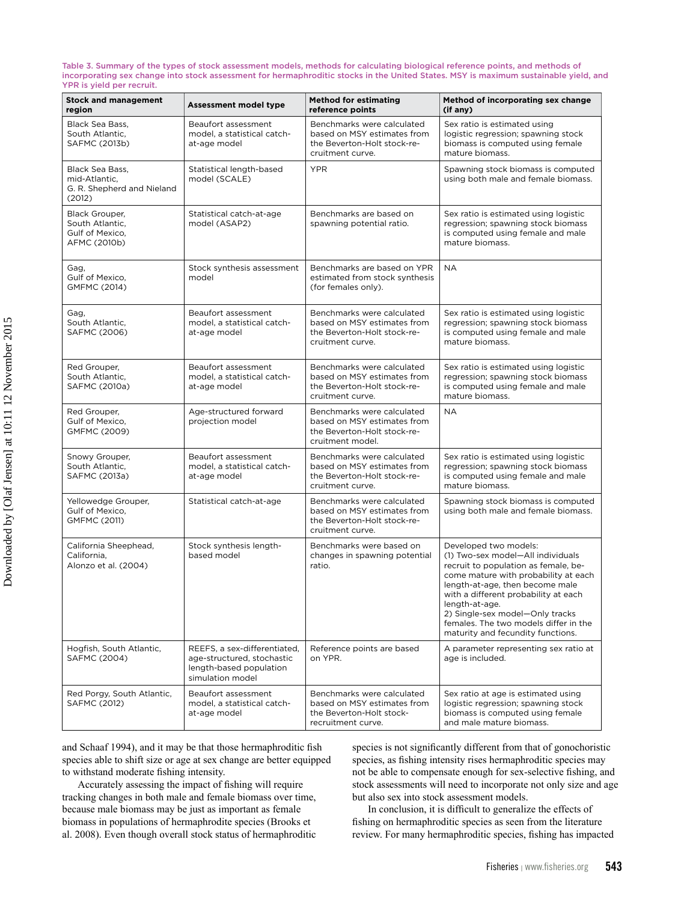Table 3. Summary of the types of stock assessment models, methods for calculating biological reference points, and methods of incorporating sex change into stock assessment for hermaphroditic stocks in the United States. MSY is maximum sustainable yield, and YPR is yield per recruit.

| <b>Stock and management</b><br>region                                    | <b>Assessment model type</b>                                                                              | <b>Method for estimating</b><br>reference points                                                             | Method of incorporating sex change<br>(if any)                                                                                                                                                                                                                                                                                                           |  |
|--------------------------------------------------------------------------|-----------------------------------------------------------------------------------------------------------|--------------------------------------------------------------------------------------------------------------|----------------------------------------------------------------------------------------------------------------------------------------------------------------------------------------------------------------------------------------------------------------------------------------------------------------------------------------------------------|--|
| <b>Black Sea Bass.</b><br>South Atlantic,<br>SAFMC (2013b)               | Beaufort assessment<br>model, a statistical catch-<br>at-age model                                        | Benchmarks were calculated<br>based on MSY estimates from<br>the Beverton-Holt stock-re-<br>cruitment curve. | Sex ratio is estimated using<br>logistic regression; spawning stock<br>biomass is computed using female<br>mature biomass.                                                                                                                                                                                                                               |  |
| Black Sea Bass,<br>mid-Atlantic,<br>G. R. Shepherd and Nieland<br>(2012) | Statistical length-based<br>model (SCALE)                                                                 | <b>YPR</b>                                                                                                   | Spawning stock biomass is computed<br>using both male and female biomass.                                                                                                                                                                                                                                                                                |  |
| Black Grouper,<br>South Atlantic,<br>Gulf of Mexico.<br>AFMC (2010b)     | Statistical catch-at-age<br>model (ASAP2)                                                                 | Benchmarks are based on<br>spawning potential ratio.                                                         | Sex ratio is estimated using logistic<br>regression; spawning stock biomass<br>is computed using female and male<br>mature biomass.                                                                                                                                                                                                                      |  |
| Gag,<br>Gulf of Mexico,<br>GMFMC (2014)                                  | Stock synthesis assessment<br>model                                                                       | Benchmarks are based on YPR<br>estimated from stock synthesis<br>(for females only).                         | <b>NA</b>                                                                                                                                                                                                                                                                                                                                                |  |
| Gag,<br>South Atlantic.<br>SAFMC (2006)                                  | Beaufort assessment<br>model, a statistical catch-<br>at-age model                                        | Benchmarks were calculated<br>based on MSY estimates from<br>the Beverton-Holt stock-re-<br>cruitment curve. | Sex ratio is estimated using logistic<br>regression; spawning stock biomass<br>is computed using female and male<br>mature biomass.                                                                                                                                                                                                                      |  |
| Red Grouper.<br>South Atlantic,<br>SAFMC (2010a)                         | Beaufort assessment<br>model, a statistical catch-<br>at-age model                                        | Benchmarks were calculated<br>based on MSY estimates from<br>the Beverton-Holt stock-re-<br>cruitment curve. | Sex ratio is estimated using logistic<br>regression; spawning stock biomass<br>is computed using female and male<br>mature biomass.                                                                                                                                                                                                                      |  |
| Red Grouper,<br>Gulf of Mexico,<br>GMFMC (2009)                          | Age-structured forward<br>projection model                                                                | Benchmarks were calculated<br>based on MSY estimates from<br>the Beverton-Holt stock-re-<br>cruitment model. | <b>NA</b>                                                                                                                                                                                                                                                                                                                                                |  |
| Snowy Grouper,<br>South Atlantic,<br>SAFMC (2013a)                       | Beaufort assessment<br>model, a statistical catch-<br>at-age model                                        | Benchmarks were calculated<br>based on MSY estimates from<br>the Beverton-Holt stock-re-<br>cruitment curve. | Sex ratio is estimated using logistic<br>regression; spawning stock biomass<br>is computed using female and male<br>mature biomass.                                                                                                                                                                                                                      |  |
| Yellowedge Grouper,<br>Gulf of Mexico,<br>GMFMC (2011)                   | Statistical catch-at-age                                                                                  | Benchmarks were calculated<br>based on MSY estimates from<br>the Beverton-Holt stock-re-<br>cruitment curve. | Spawning stock biomass is computed<br>using both male and female biomass.                                                                                                                                                                                                                                                                                |  |
| California Sheephead,<br>California,<br>Alonzo et al. (2004)             | Stock synthesis length-<br>based model                                                                    | Benchmarks were based on<br>changes in spawning potential<br>ratio.                                          | Developed two models:<br>(1) Two-sex model-All individuals<br>recruit to population as female, be-<br>come mature with probability at each<br>length-at-age, then become male<br>with a different probability at each<br>length-at-age.<br>2) Single-sex model-Only tracks<br>females. The two models differ in the<br>maturity and fecundity functions. |  |
| Hogfish, South Atlantic,<br>SAFMC (2004)                                 | REEFS, a sex-differentiated,<br>age-structured, stochastic<br>length-based population<br>simulation model | Reference points are based<br>on YPR.                                                                        | A parameter representing sex ratio at<br>age is included.                                                                                                                                                                                                                                                                                                |  |
| Red Porgy, South Atlantic,<br>SAFMC (2012)                               | Beaufort assessment<br>model, a statistical catch-<br>at-age model                                        | Benchmarks were calculated<br>based on MSY estimates from<br>the Beverton-Holt stock-<br>recruitment curve.  | Sex ratio at age is estimated using<br>logistic regression; spawning stock<br>biomass is computed using female<br>and male mature biomass.                                                                                                                                                                                                               |  |

and Schaaf 1994), and it may be that those hermaphroditic fish species able to shift size or age at sex change are better equipped to withstand moderate fishing intensity.

Accurately assessing the impact of fishing will require tracking changes in both male and female biomass over time, because male biomass may be just as important as female biomass in populations of hermaphrodite species (Brooks et al. 2008). Even though overall stock status of hermaphroditic

species is not significantly different from that of gonochoristic species, as fishing intensity rises hermaphroditic species may not be able to compensate enough for sex-selective fishing, and stock assessments will need to incorporate not only size and age but also sex into stock assessment models.

In conclusion, it is difficult to generalize the effects of fishing on hermaphroditic species as seen from the literature review. For many hermaphroditic species, fishing has impacted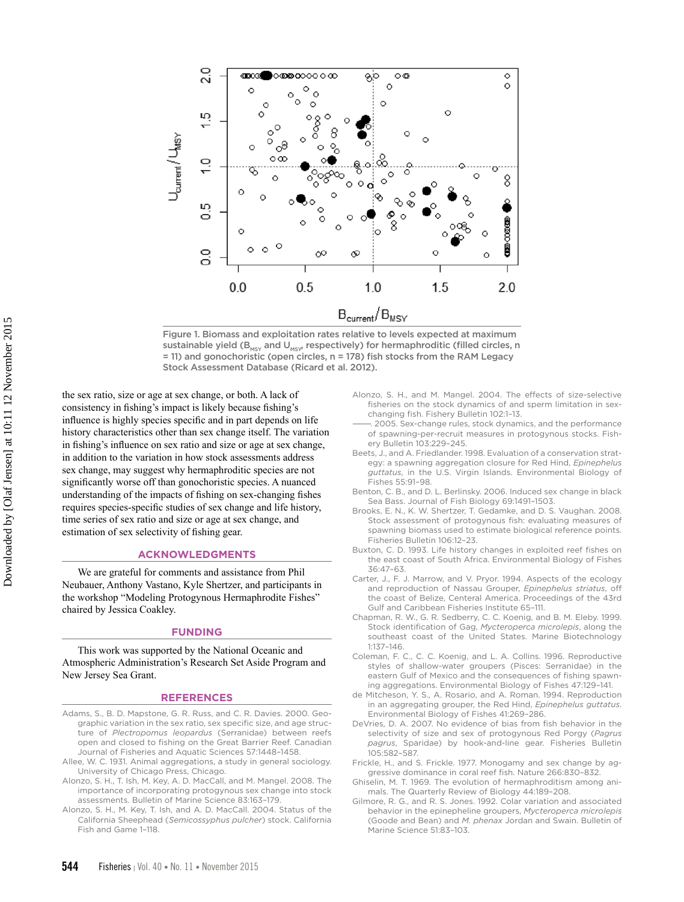



the sex ratio, size or age at sex change, or both. A lack of consistency in fishing's impact is likely because fishing's influence is highly species specific and in part depends on life history characteristics other than sex change itself. The variation in fishing's influence on sex ratio and size or age at sex change, in addition to the variation in how stock assessments address sex change, may suggest why hermaphroditic species are not significantly worse off than gonochoristic species. A nuanced understanding of the impacts of fishing on sex-changing fishes requires species-specific studies of sex change and life history, time series of sex ratio and size or age at sex change, and estimation of sex selectivity of fishing gear.

### **ACKNOWLEDGMENTS**

We are grateful for comments and assistance from Phil Neubauer, Anthony Vastano, Kyle Shertzer, and participants in the workshop "Modeling Protogynous Hermaphrodite Fishes" chaired by Jessica Coakley.

#### **FUNDING**

This work was supported by the National Oceanic and Atmospheric Administration's Research Set Aside Program and New Jersey Sea Grant.

#### **REFERENCES**

- Adams, S., B. D. Mapstone, G. R. Russ, and C. R. Davies. 2000. Geographic variation in the sex ratio, sex specific size, and age structure of *Plectropomus leopardus* (Serranidae) between reefs open and closed to fishing on the Great Barrier Reef. Canadian Journal of Fisheries and Aquatic Sciences 57:1448–1458.
- Allee, W. C. 1931. Animal aggregations, a study in general sociology. University of Chicago Press, Chicago.
- Alonzo, S. H., T. Ish, M. Key, A. D. MacCall, and M. Mangel. 2008. The importance of incorporating protogynous sex change into stock assessments. Bulletin of Marine Science 83:163–179.
- Alonzo, S. H., M. Key, T. Ish, and A. D. MacCall. 2004. Status of the California Sheephead (*Semicossyphus pulcher*) stock. California Fish and Game 1–118.
- Alonzo, S. H., and M. Mangel. 2004. The effects of size-selective fisheries on the stock dynamics of and sperm limitation in sexchanging fish. Fishery Bulletin 102:1–13.
- -. 2005. Sex-change rules, stock dynamics, and the performance of spawning-per-recruit measures in protogynous stocks. Fishery Bulletin 103:229–245.
- Beets, J., and A. Friedlander. 1998. Evaluation of a conservation strategy: a spawning aggregation closure for Red Hind, *Epinephelus guttatus*, in the U.S. Virgin Islands. Environmental Biology of Fishes 55:91–98.
- Benton, C. B., and D. L. Berlinsky. 2006. Induced sex change in black Sea Bass. Journal of Fish Biology 69:1491–1503.
- Brooks, E. N., K. W. Shertzer, T. Gedamke, and D. S. Vaughan. 2008. Stock assessment of protogynous fish: evaluating measures of spawning biomass used to estimate biological reference points. Fisheries Bulletin 106:12–23.
- Buxton, C. D. 1993. Life history changes in exploited reef fishes on the east coast of South Africa. Environmental Biology of Fishes 36:47–63.
- Carter, J., F. J. Marrow, and V. Pryor. 1994. Aspects of the ecology and reproduction of Nassau Grouper, *Epinephelus striatus*, off the coast of Belize, Centeral America. Proceedings of the 43rd Gulf and Caribbean Fisheries Institute 65–111.
- Chapman, R. W., G. R. Sedberry, C. C. Koenig, and B. M. Eleby. 1999. Stock identification of Gag, *Mycteroperca microlepis*, along the southeast coast of the United States. Marine Biotechnology 1:137–146.
- Coleman, F. C., C. C. Koenig, and L. A. Collins. 1996. Reproductive styles of shallow-water groupers (Pisces: Serranidae) in the eastern Gulf of Mexico and the consequences of fishing spawning aggregations. Environmental Biology of Fishes 47:129–141.
- de Mitcheson, Y. S., A. Rosario, and A. Roman. 1994. Reproduction in an aggregating grouper, the Red Hind, *Epinephelus guttatus*. Environmental Biology of Fishes 41:269–286.
- DeVries, D. A. 2007. No evidence of bias from fish behavior in the selectivity of size and sex of protogynous Red Porgy (*Pagrus pagrus*, Sparidae) by hook-and-line gear. Fisheries Bulletin 105:582–587.
- Frickle, H., and S. Frickle. 1977. Monogamy and sex change by aggressive dominance in coral reef fish. Nature 266:830–832.
- Ghiselin, M. T. 1969. The evolution of hermaphroditism among animals. The Quarterly Review of Biology 44:189–208.
- Gilmore, R. G., and R. S. Jones. 1992. Colar variation and associated behavior in the epinepheline groupers, *Mycteroperca microlepis* (Goode and Bean) and *M. phenax* Jordan and Swain. Bulletin of Marine Science 51:83–103.